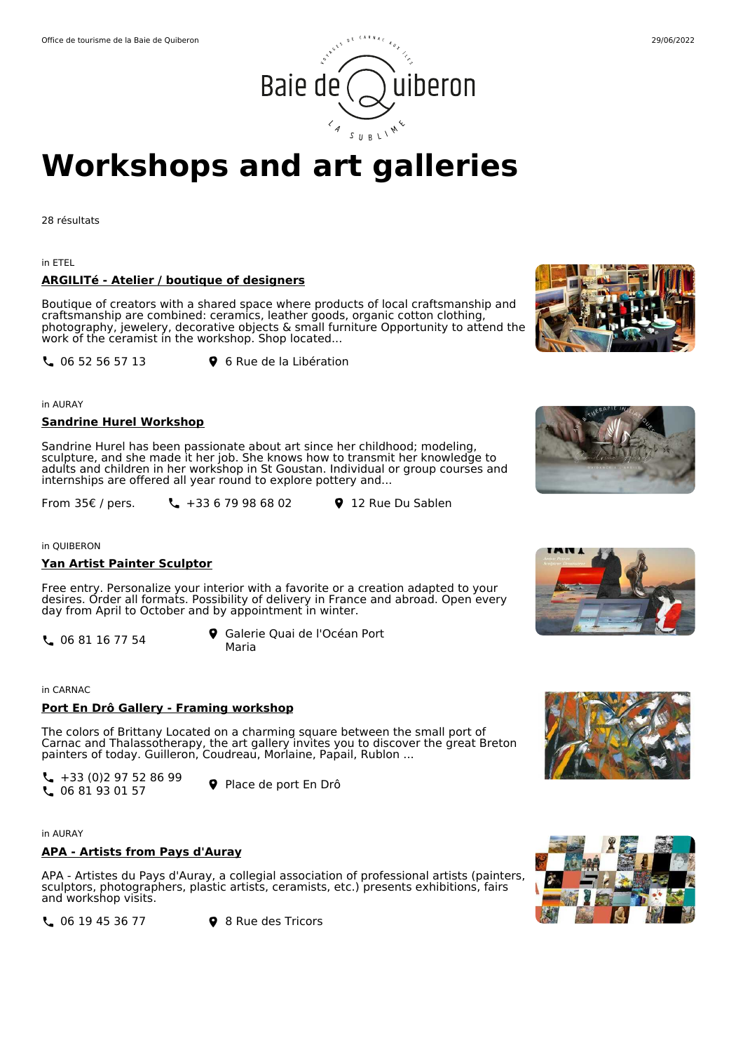

# Office de tourisme de la Baie de Quiberon 29/06/2022 uiberon Baie de

## **Workshops and art galleries**

28 résultats

in ETEL

## **ARGILITé - Atelier / boutique of designers**

Boutique of creators with a shared space where products of local craftsmanship and craftsmanship are combined: ceramics, leather goods, organic cotton clothing, photography, jewelery, decorative objects & small furniture Opportunity to attend the work of the ceramist in the workshop. Shop located...

**L** 06 52 56 57 13 **9** 6 Rue de la Libération

in AURAY

## **Sandrine Hurel Workshop**

Sandrine Hurel has been passionate about art since her childhood; modeling, sculpture, and she made it her job. She knows how to transmit her knowledge to adults and children in her workshop in St Goustan. Individual or group courses and internships are offered all year round to explore pottery and...

From 35€ / pers.  $\begin{array}{ccc} \n\cdot & 12 & \text{Rue Du Salen} \\
\cdot & 35 & -12 & \text{Rue Du Salen} \\
\cdot & 35 & -12 & \text{Rue Du Salen} \\
\cdot & 35 & -12 & \text{Rue Du Salen} \\
\cdot & 35 & -12 & \text{Rue Du Salen} \\
\cdot & 35 & -12 & \text{Rue Du Salen} \\
\cdot & 35 & -12 & \text{Rue Du Salen} \\
\cdot & 35 & -12 & \text{Rue Du Salen} \\
\cdot & 35 & -12 & \text{Rue Du Salen} \\
\cdot & 35 & -$ 

in QUIBERON

#### **Yan Artist Painter Sculptor**

Free entry. Personalize your interior with a favorite or a creation adapted to your desires. Order all formats. Possibility of delivery in France and abroad. Open every day from April to October and by appointment in winter.

 $\begin{array}{ccc} \bullet & \bullet & \bullet & \bullet \\ \bullet & \bullet & \bullet & \bullet \end{array}$  Galerie Quai de l'Océan Port Maria

in CARNAC

## **Port En Drô Gallery - Framing workshop**

The colors of Brittany Located on a charming square between the small port of Carnac and Thalassotherapy, the art gallery invites you to discover the great Breton painters of today. Guilleron, Coudreau, Morlaine, Papail, Rublon ...

 $\leftarrow$  +33 (0)2 97 52 86 99 C +33 (0)2 97 32 60 99<br>C 06 81 93 01 57

in AURAY

#### **APA - Artists from Pays d'Auray**

APA - Artistes du Pays d'Auray, a collegial association of professional artists (painters, sculptors, photographers, plastic artists, ceramists, etc.) presents exhibitions, fairs and workshop visits.

**4 06 19 45 36 77 9 8 Rue des Tricors** 













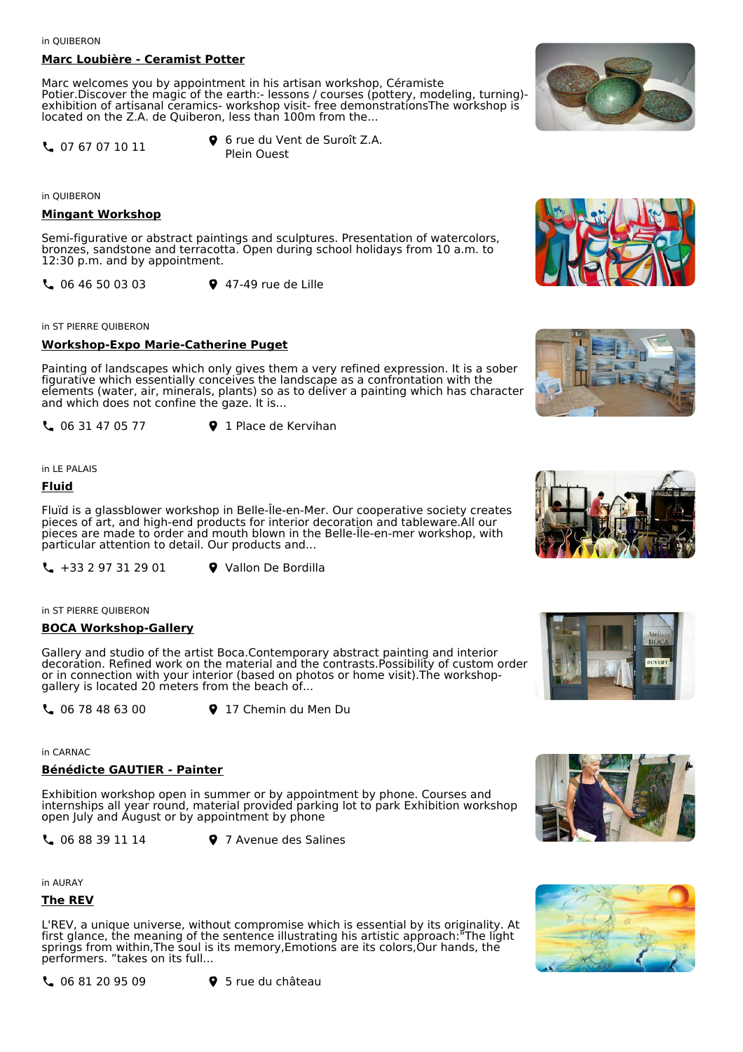in QUIBERON

## **Marc Loubière - Ceramist Potter**

Marc welcomes you by appointment in his artisan workshop, Céramiste Potier.Discover the magic of the earth:- lessons / courses (pottery, modeling, turning)exhibition of artisanal ceramics- workshop visit- free demonstrationsThe workshop is located on the Z.A. de Quiberon, less than 100m from the...

07 67 07 10 11

6 rue du Vent de Suroît Z.A. Plein Ouest

in QUIBERON

## **Mingant Workshop**

Semi-figurative or abstract paintings and sculptures. Presentation of watercolors, bronzes, sandstone and terracotta. Open during school holidays from 10 a.m. to 12:30 p.m. and by appointment.

06 46 50 03 03 47-49 rue de Lille

in ST PIERRE QUIBERON

## **Workshop-Expo Marie-Catherine Puget**

Painting of landscapes which only gives them a very refined expression. It is a sober figurative which essentially conceives the landscape as a confrontation with the elements (water, air, minerals, plants) so as to deliver a painting which has character and which does not confine the gaze. It is...

**L** 06 31 47 05 77 **9** 1 Place de Kervihan

in LE PALAIS

## **Fluid**

Fluïd is a glassblower workshop in Belle-Île-en-Mer. Our cooperative society creates pieces of art, and high-end products for interior decoration and tableware.All our pieces are made to order and mouth blown in the Belle-Île-en-mer workshop, with particular attention to detail. Our products and...

 $\binom{4}{4}$  +33 2 97 31 29 01  $\binom{6}{4}$  Vallon De Bordilla

in ST PIERRE QUIBERON

## **BOCA Workshop-Gallery**

Gallery and studio of the artist Boca.Contemporary abstract painting and interior decoration. Refined work on the material and the contrasts.Possibility of custom order or in connection with your interior (based on photos or home visit).The workshopgallery is located 20 meters from the beach of...

**C** 06 78 48 63 00 **9** 17 Chemin du Men Du

in CARNAC

## **Bénédicte GAUTIER - Painter**

Exhibition workshop open in summer or by appointment by phone. Courses and internships all year round, material provided parking lot to park Exhibition workshop open July and August or by appointment by phone

**4 06 88 39 11 14 9 7 Avenue des Salines** 

in AURAY

## **The REV**

L'REV, a unique universe, without compromise which is essential by its originality. At first glance, the meaning of the sentence illustrating his artistic approach:"The light springs from within,The soul is its memory,Emotions are its colors,Our hands, the performers. "takes on its full...











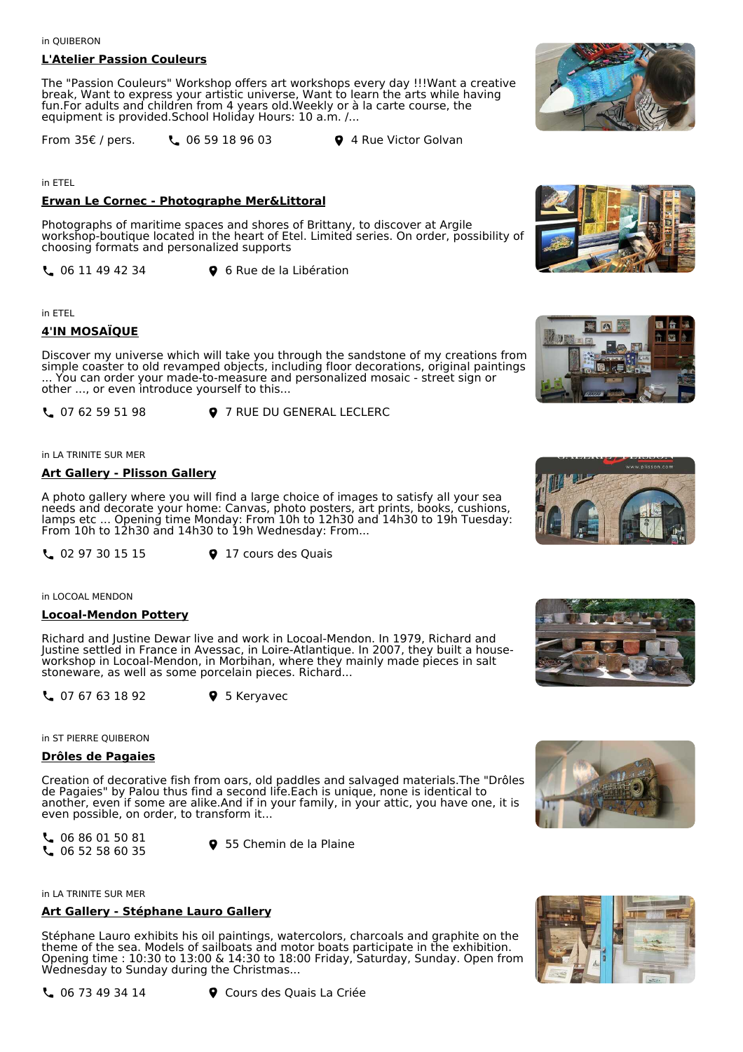## **L'Atelier Passion Couleurs**

The "Passion Couleurs" Workshop offers art workshops every day !!!Want a creative break, Want to express your artistic universe, Want to learn the arts while having fun.For adults and children from 4 years old.Weekly or à la carte course, the equipment is provided.School Holiday Hours: 10 a.m. /...

From  $35\epsilon$  / pers.  $\epsilon$  06 59 18 96 03  $\epsilon$  4 Rue Victor Golvan

in ETEL

## **Erwan Le Cornec - Photographe Mer&Littoral**

Photographs of maritime spaces and shores of Brittany, to discover at Argile workshop-boutique located in the heart of Etel. Limited series. On order, possibility of choosing formats and personalized supports

**L** 06 11 49 42 34 **9** 6 Rue de la Libération

in ETEL

## **4'IN MOSAÏQUE**

Discover my universe which will take you through the sandstone of my creations from simple coaster to old revamped objects, including floor decorations, original paintings ... You can order your made-to-measure and personalized mosaic - street sign or other ..., or even introduce yourself to this...

**L** 07 62 59 51 98 **9** 7 RUE DU GENERAL LECLERC

in LA TRINITE SUR MER

#### **Art Gallery - Plisson Gallery**

A photo gallery where you will find a large choice of images to satisfy all your sea needs and decorate your home: Canvas, photo posters, art prints, books, cushions, lamps etc ... Opening time Monday: From 10h to 12h30 and 14h30 to 19h Tuesday: From 10h to 12h30 and 14h30 to 19h Wednesday: From...

**4 02 97 30 15 15 9 17 cours des Quais** 

in LOCOAL MENDON

#### **Locoal-Mendon Pottery**

Richard and Justine Dewar live and work in Locoal-Mendon. In 1979, Richard and Justine settled in France in Avessac, in Loire-Atlantique. In 2007, they built a houseworkshop in Locoal-Mendon, in Morbihan, where they mainly made pieces in salt stoneware, as well as some porcelain pieces. Richard...

**L** 07 67 63 18 92 **9** 5 Keryavec

in ST PIERRE QUIBERON

#### **Drôles de Pagaies**

Creation of decorative fish from oars, old paddles and salvaged materials.The "Drôles de Pagaies" by Palou thus find a second life.Each is unique, none is identical to another, even if some are alike.And if in your family, in your attic, you have one, it is even possible, on order, to transform it...

 06 86 01 50 81  $\binom{6}{5}$  00 60 01 50 61<br> $\binom{6}{5}$  06 52 58 60 35

in LA TRINITE SUR MER

## **Art Gallery - Stéphane Lauro Gallery**

Stéphane Lauro exhibits his oil paintings, watercolors, charcoals and graphite on the theme of the sea. Models of sailboats and motor boats participate in the exhibition. Opening time : 10:30 to 13:00 & 14:30 to 18:00 Friday, Saturday, Sunday. Open from Wednesday to Sunday during the Christmas...



÷ E 音











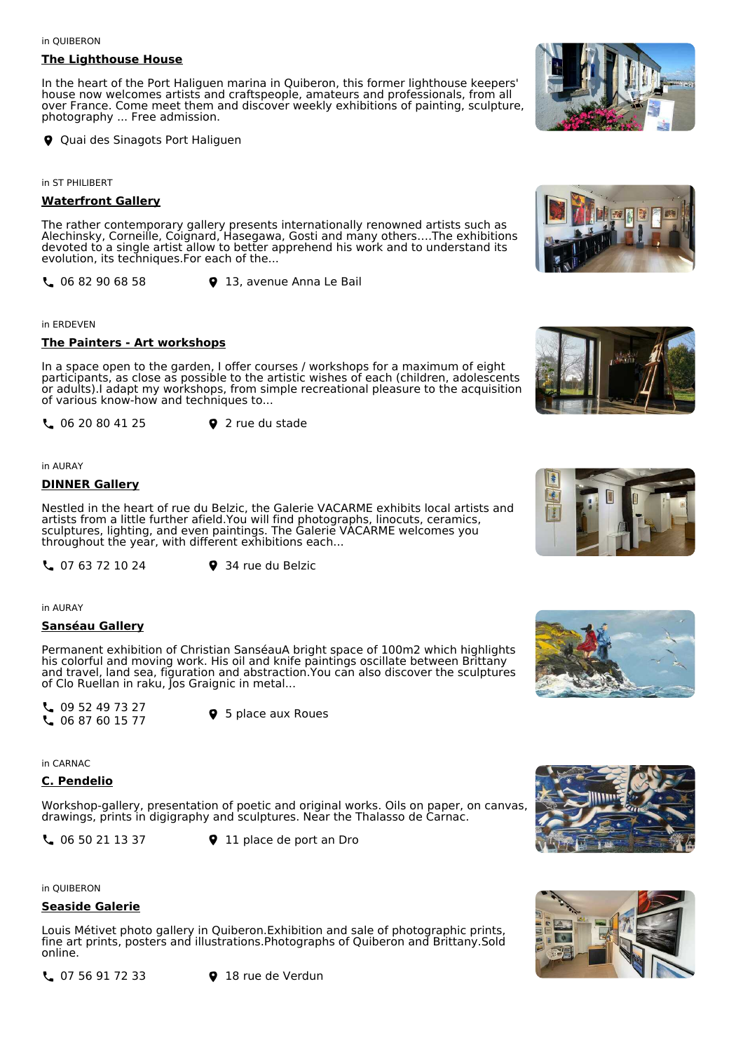#### in QUIBERON

#### **The Lighthouse House**

In the heart of the Port Haliguen marina in Quiberon, this former lighthouse keepers' house now welcomes artists and craftspeople, amateurs and professionals, from all over France. Come meet them and discover weekly exhibitions of painting, sculpture, photography ... Free admission.

**Q** Quai des Sinagots Port Haliguen

in ST PHILIBERT

## **Waterfront Gallery**

The rather contemporary gallery presents internationally renowned artists such as Alechinsky, Corneille, Coignard, Hasegawa, Gosti and many others….The exhibitions devoted to a single artist allow to better apprehend his work and to understand its evolution, its techniques.For each of the...

**L** 06 82 90 68 58 **9** 13, avenue Anna Le Bail

#### in ERDEVEN

#### **The Painters - Art workshops**

In a space open to the garden, I offer courses / workshops for a maximum of eight participants, as close as possible to the artistic wishes of each (children, adolescents or adults).I adapt my workshops, from simple recreational pleasure to the acquisition of various know-how and techniques to...

**L** 06 20 80 41 25 **9** 2 rue du stade

in AURAY

## **DINNER Gallery**

Nestled in the heart of rue du Belzic, the Galerie VACARME exhibits local artists and artists from a little further afield.You will find photographs, linocuts, ceramics, sculptures, lighting, and even paintings. The Galerie VACARME welcomes you throughout the year, with different exhibitions each...

**4 07 63 72 10 24 9 34 rue du Belzic** 

in AURAY

#### **Sanséau Gallery**

Permanent exhibition of Christian SanséauA bright space of 100m2 which highlights his colorful and moving work. His oil and knife paintings oscillate between Brittany and travel, land sea, figuration and abstraction.You can also discover the sculptures of Clo Ruellan in raku, Jos Graignic in metal...

 $\begin{array}{c} \begin{array}{c} \text{O} & 09 & 52 & 49 & 73 & 27 \\ \text{O} & 06 & 87 & 60 & 15 & 77 \end{array} \end{array}$ 

**9** 5 place aux Roues

in CARNAC

## **C. Pendelio**

Workshop-gallery, presentation of poetic and original works. Oils on paper, on canvas, drawings, prints in digigraphy and sculptures. Near the Thalasso de Carnac.

**4** 06 50 21 13 37 **9** 11 place de port an Dro

in QUIBERON

## **Seaside Galerie**

Louis Métivet photo gallery in Quiberon.Exhibition and sale of photographic prints, fine art prints, posters and illustrations.Photographs of Quiberon and Brittany.Sold online.